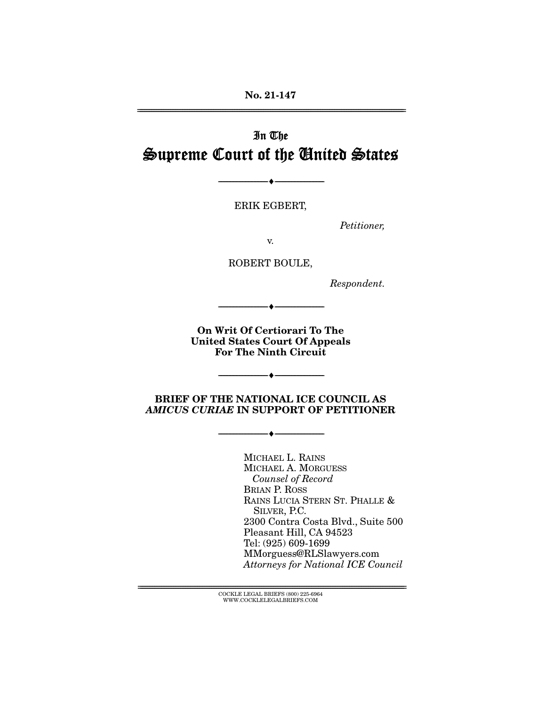**No. 21-147**  ================================================================================================================

# In The Supreme Court of the United States

ERIK EGBERT,

--------------------------------- ♦ ---------------------------------

Petitioner,

v.

ROBERT BOULE,

Respondent.

**On Writ Of Certiorari To The United States Court Of Appeals For The Ninth Circuit** 

--------------------------------- ♦ ---------------------------------

**BRIEF OF THE NATIONAL ICE COUNCIL AS**  *AMICUS CURIAE* **IN SUPPORT OF PETITIONER** 

--------------------------------- ♦ ---------------------------------

--------------------------------- ♦ ---------------------------------

MICHAEL L. RAINS MICHAEL A. MORGUESS Counsel of Record BRIAN P. ROSS RAINS LUCIA STERN ST. PHALLE & SILVER, P.C. 2300 Contra Costa Blvd., Suite 500 Pleasant Hill, CA 94523 Tel: (925) 609-1699 MMorguess@RLSlawyers.com Attorneys for National ICE Council

 ${ \rm COCKLE}$  LEGAL BRIEFS (800) 225-6964 WWW.COCKLELEGALBRIEFS.COM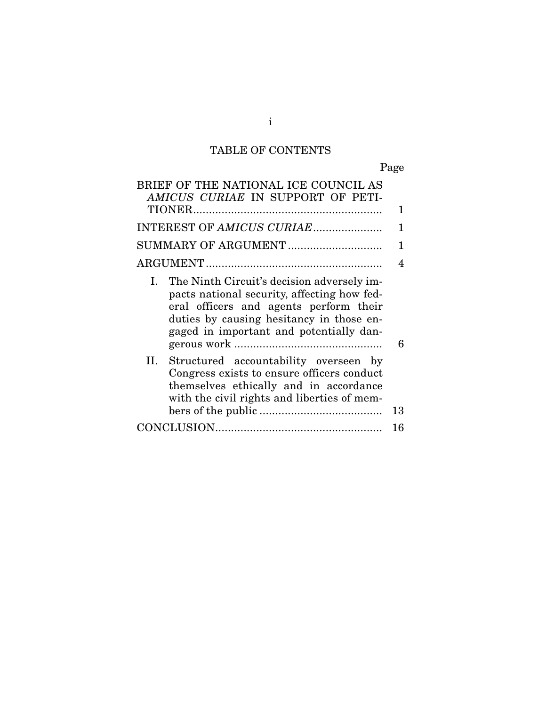# TABLE OF CONTENTS

Page

| BRIEF OF THE NATIONAL ICE COUNCIL AS<br>AMICUS CURIAE IN SUPPORT OF PETI-                                                                                                                                                        | 1  |
|----------------------------------------------------------------------------------------------------------------------------------------------------------------------------------------------------------------------------------|----|
| INTEREST OF AMICUS CURIAE                                                                                                                                                                                                        | 1  |
| SUMMARY OF ARGUMENT                                                                                                                                                                                                              | 1  |
|                                                                                                                                                                                                                                  |    |
| The Ninth Circuit's decision adversely im-<br>Ι.<br>pacts national security, affecting how fed-<br>eral officers and agents perform their<br>duties by causing hesitancy in those en-<br>gaged in important and potentially dan- | 6  |
| Н.<br>Structured accountability overseen by<br>Congress exists to ensure officers conduct<br>themselves ethically and in accordance<br>with the civil rights and liberties of mem-                                               | 13 |
|                                                                                                                                                                                                                                  | 16 |

i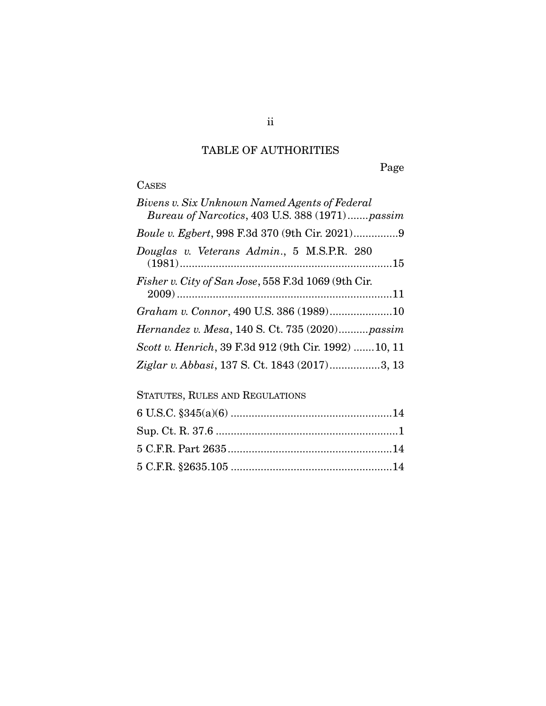## TABLE OF AUTHORITIES

Page

# **CASES**

| Bivens v. Six Unknown Named Agents of Federal<br>Bureau of Narcotics, 403 U.S. 388 (1971)passim |
|-------------------------------------------------------------------------------------------------|
|                                                                                                 |
| Douglas v. Veterans Admin., 5 M.S.P.R. 280                                                      |
| Fisher v. City of San Jose, 558 F.3d 1069 (9th Cir.                                             |
| Graham v. Connor, 490 U.S. 386 (1989)10                                                         |
| Hernandez v. Mesa, 140 S. Ct. 735 (2020)passim                                                  |
| Scott v. Henrich, 39 F.3d 912 (9th Cir. 1992)  10, 11                                           |
| Ziglar v. Abbasi, 137 S. Ct. 1843 (2017)3, 13                                                   |

## STATUTES, RULES AND REGULATIONS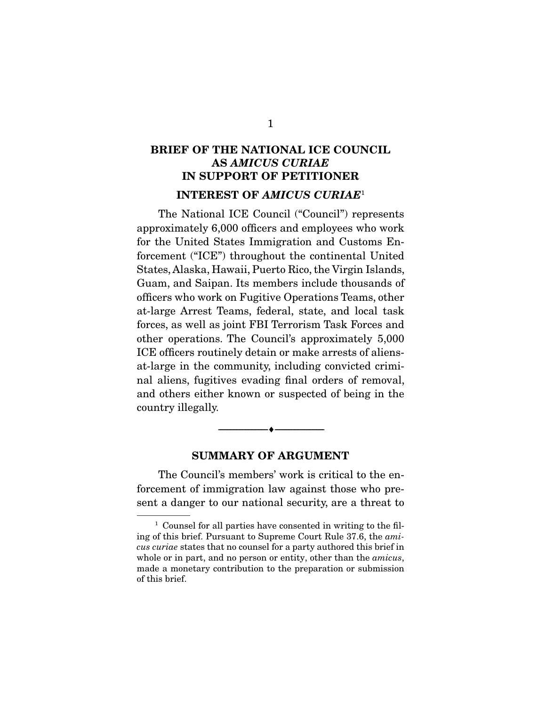## **BRIEF OF THE NATIONAL ICE COUNCIL AS** *AMICUS CURIAE* **IN SUPPORT OF PETITIONER INTEREST OF** *AMICUS CURIAE*<sup>1</sup>

 The National ICE Council ("Council") represents approximately 6,000 officers and employees who work for the United States Immigration and Customs Enforcement ("ICE") throughout the continental United States, Alaska, Hawaii, Puerto Rico, the Virgin Islands, Guam, and Saipan. Its members include thousands of officers who work on Fugitive Operations Teams, other at-large Arrest Teams, federal, state, and local task forces, as well as joint FBI Terrorism Task Forces and other operations. The Council's approximately 5,000 ICE officers routinely detain or make arrests of aliensat-large in the community, including convicted criminal aliens, fugitives evading final orders of removal, and others either known or suspected of being in the country illegally.

## **SUMMARY OF ARGUMENT**

 $\overbrace{\hspace{2.5cm}}^{\bullet}$   $\overbrace{\hspace{2.5cm}}^{\bullet}$ 

 The Council's members' work is critical to the enforcement of immigration law against those who present a danger to our national security, are a threat to

<sup>&</sup>lt;sup>1</sup> Counsel for all parties have consented in writing to the filing of this brief. Pursuant to Supreme Court Rule 37.6, the amicus curiae states that no counsel for a party authored this brief in whole or in part, and no person or entity, other than the *amicus*, made a monetary contribution to the preparation or submission of this brief.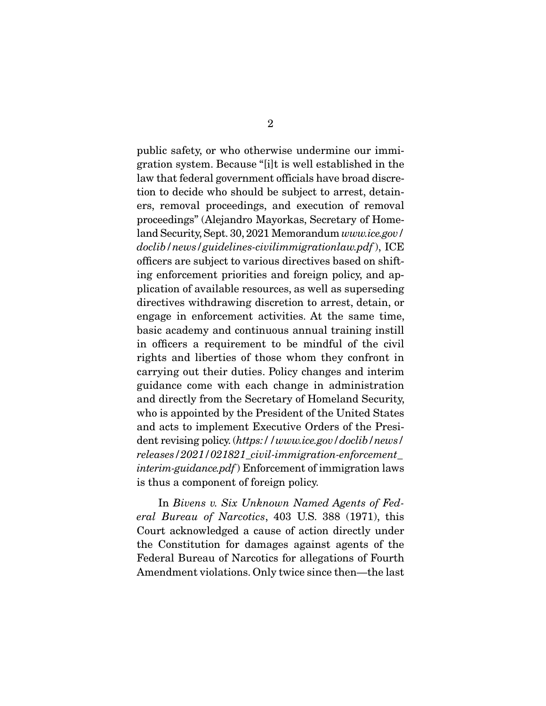public safety, or who otherwise undermine our immigration system. Because "[i]t is well established in the law that federal government officials have broad discretion to decide who should be subject to arrest, detainers, removal proceedings, and execution of removal proceedings" (Alejandro Mayorkas, Secretary of Homeland Security, Sept. 30, 2021 Memorandum www.ice.gov/ doclib/news/guidelines-civilimmigrationlaw.pdf), ICE officers are subject to various directives based on shifting enforcement priorities and foreign policy, and application of available resources, as well as superseding directives withdrawing discretion to arrest, detain, or engage in enforcement activities. At the same time, basic academy and continuous annual training instill in officers a requirement to be mindful of the civil rights and liberties of those whom they confront in carrying out their duties. Policy changes and interim guidance come with each change in administration and directly from the Secretary of Homeland Security, who is appointed by the President of the United States and acts to implement Executive Orders of the President revising policy. (https://www.ice.gov/doclib/news/ releases/2021/021821\_civil-immigration-enforcement\_ interim-guidance.pdf) Enforcement of immigration laws is thus a component of foreign policy.

 In Bivens v. Six Unknown Named Agents of Federal Bureau of Narcotics, 403 U.S. 388 (1971), this Court acknowledged a cause of action directly under the Constitution for damages against agents of the Federal Bureau of Narcotics for allegations of Fourth Amendment violations. Only twice since then—the last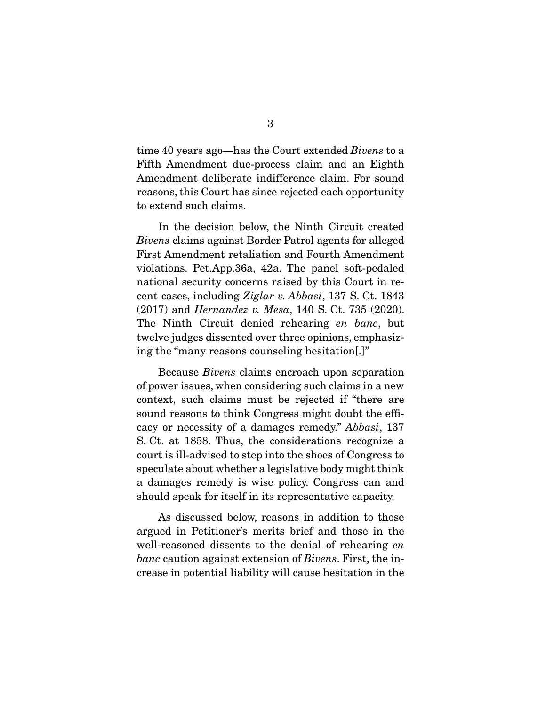time 40 years ago—has the Court extended *Bivens* to a Fifth Amendment due-process claim and an Eighth Amendment deliberate indifference claim. For sound reasons, this Court has since rejected each opportunity to extend such claims.

 In the decision below, the Ninth Circuit created Bivens claims against Border Patrol agents for alleged First Amendment retaliation and Fourth Amendment violations. Pet.App.36a, 42a. The panel soft-pedaled national security concerns raised by this Court in recent cases, including Ziglar v. Abbasi, 137 S. Ct. 1843 (2017) and Hernandez v. Mesa, 140 S. Ct. 735 (2020). The Ninth Circuit denied rehearing en banc, but twelve judges dissented over three opinions, emphasizing the "many reasons counseling hesitation[.]"

 Because Bivens claims encroach upon separation of power issues, when considering such claims in a new context, such claims must be rejected if "there are sound reasons to think Congress might doubt the efficacy or necessity of a damages remedy." Abbasi, 137 S. Ct. at 1858. Thus, the considerations recognize a court is ill-advised to step into the shoes of Congress to speculate about whether a legislative body might think a damages remedy is wise policy. Congress can and should speak for itself in its representative capacity.

 As discussed below, reasons in addition to those argued in Petitioner's merits brief and those in the well-reasoned dissents to the denial of rehearing en banc caution against extension of Bivens. First, the increase in potential liability will cause hesitation in the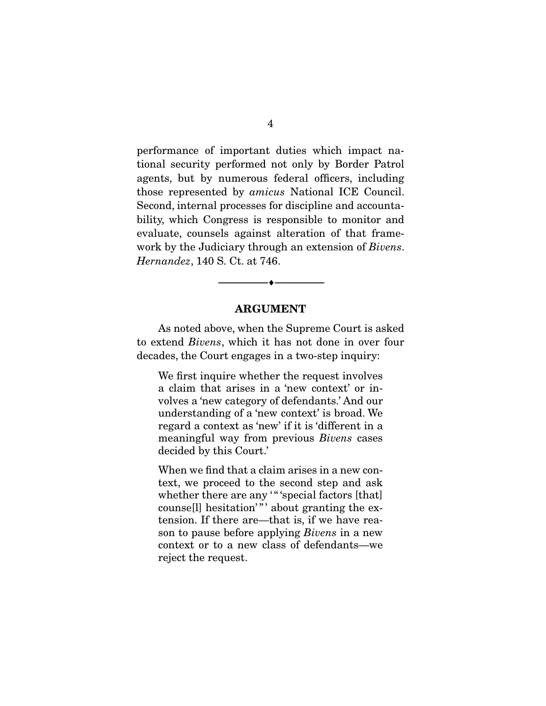performance of important duties which impact national security performed not only by Border Patrol agents, but by numerous federal officers, including those represented by amicus National ICE Council. Second, internal processes for discipline and accountability, which Congress is responsible to monitor and evaluate, counsels against alteration of that framework by the Judiciary through an extension of *Bivens*. Hernandez, 140 S. Ct. at 746.

### **ARGUMENT**

 $\overbrace{\hspace{2.5cm}}^{\bullet}$   $\overbrace{\hspace{2.5cm}}^{\bullet}$ 

 As noted above, when the Supreme Court is asked to extend Bivens, which it has not done in over four decades, the Court engages in a two-step inquiry:

We first inquire whether the request involves a claim that arises in a 'new context' or involves a 'new category of defendants.' And our understanding of a 'new context' is broad. We regard a context as 'new' if it is 'different in a meaningful way from previous Bivens cases decided by this Court.'

When we find that a claim arises in a new context, we proceed to the second step and ask whether there are any "" 'special factors [that] counse[l] hesitation'"' about granting the extension. If there are—that is, if we have reason to pause before applying Bivens in a new context or to a new class of defendants—we reject the request.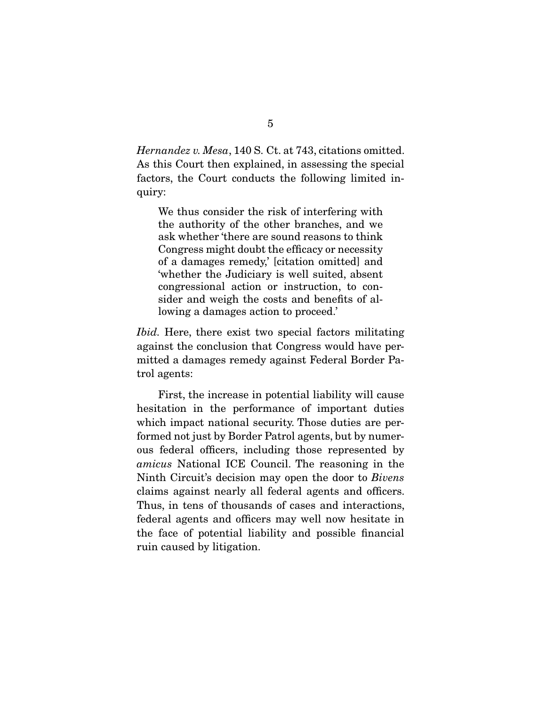Hernandez v. Mesa, 140 S. Ct. at 743, citations omitted. As this Court then explained, in assessing the special factors, the Court conducts the following limited inquiry:

We thus consider the risk of interfering with the authority of the other branches, and we ask whether 'there are sound reasons to think Congress might doubt the efficacy or necessity of a damages remedy,' [citation omitted] and 'whether the Judiciary is well suited, absent congressional action or instruction, to consider and weigh the costs and benefits of allowing a damages action to proceed.'

Ibid. Here, there exist two special factors militating against the conclusion that Congress would have permitted a damages remedy against Federal Border Patrol agents:

 First, the increase in potential liability will cause hesitation in the performance of important duties which impact national security. Those duties are performed not just by Border Patrol agents, but by numerous federal officers, including those represented by amicus National ICE Council. The reasoning in the Ninth Circuit's decision may open the door to Bivens claims against nearly all federal agents and officers. Thus, in tens of thousands of cases and interactions, federal agents and officers may well now hesitate in the face of potential liability and possible financial ruin caused by litigation.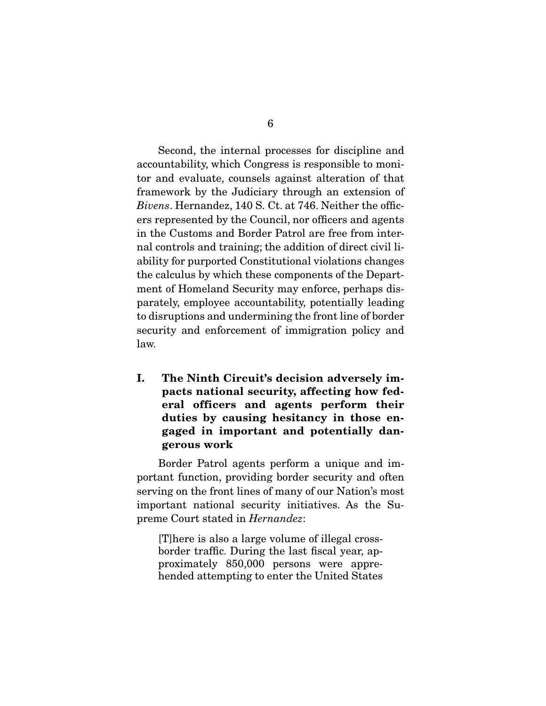Second, the internal processes for discipline and accountability, which Congress is responsible to monitor and evaluate, counsels against alteration of that framework by the Judiciary through an extension of Bivens. Hernandez, 140 S. Ct. at 746. Neither the officers represented by the Council, nor officers and agents in the Customs and Border Patrol are free from internal controls and training; the addition of direct civil liability for purported Constitutional violations changes the calculus by which these components of the Department of Homeland Security may enforce, perhaps dis-

parately, employee accountability, potentially leading to disruptions and undermining the front line of border security and enforcement of immigration policy and law.

**I. The Ninth Circuit's decision adversely impacts national security, affecting how federal officers and agents perform their duties by causing hesitancy in those engaged in important and potentially dangerous work** 

 Border Patrol agents perform a unique and important function, providing border security and often serving on the front lines of many of our Nation's most important national security initiatives. As the Supreme Court stated in Hernandez:

[T]here is also a large volume of illegal crossborder traffic. During the last fiscal year, approximately 850,000 persons were apprehended attempting to enter the United States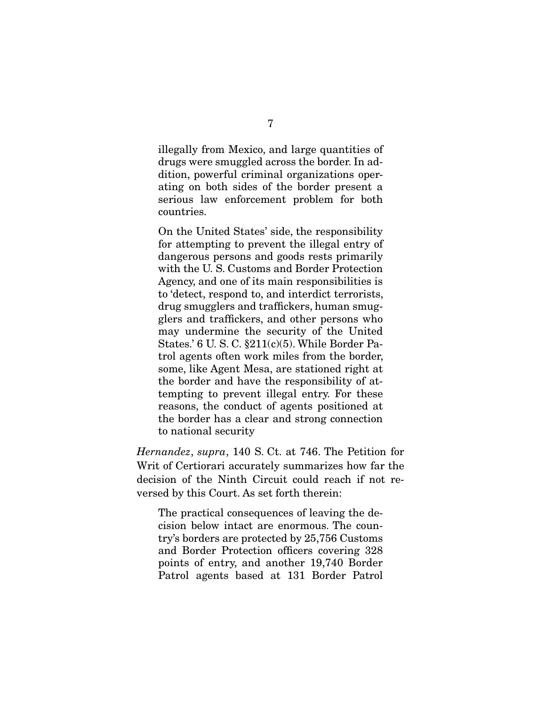illegally from Mexico, and large quantities of drugs were smuggled across the border. In addition, powerful criminal organizations operating on both sides of the border present a serious law enforcement problem for both countries.

On the United States' side, the responsibility for attempting to prevent the illegal entry of dangerous persons and goods rests primarily with the U. S. Customs and Border Protection Agency, and one of its main responsibilities is to 'detect, respond to, and interdict terrorists, drug smugglers and traffickers, human smugglers and traffickers, and other persons who may undermine the security of the United States.' 6 U. S. C. §211(c)(5). While Border Patrol agents often work miles from the border, some, like Agent Mesa, are stationed right at the border and have the responsibility of attempting to prevent illegal entry. For these reasons, the conduct of agents positioned at the border has a clear and strong connection to national security

Hernandez, supra, 140 S. Ct. at 746. The Petition for Writ of Certiorari accurately summarizes how far the decision of the Ninth Circuit could reach if not reversed by this Court. As set forth therein:

The practical consequences of leaving the decision below intact are enormous. The country's borders are protected by 25,756 Customs and Border Protection officers covering 328 points of entry, and another 19,740 Border Patrol agents based at 131 Border Patrol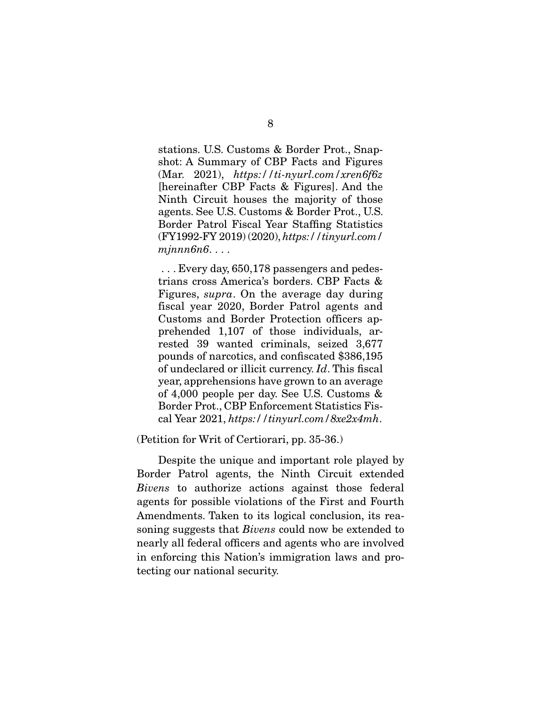stations. U.S. Customs & Border Prot., Snapshot: A Summary of CBP Facts and Figures  $(Mar. 2021)$ , https://ti-nyurl.com/xren6f6z [hereinafter CBP Facts & Figures]. And the Ninth Circuit houses the majority of those agents. See U.S. Customs & Border Prot., U.S. Border Patrol Fiscal Year Staffing Statistics (FY1992-FY 2019) (2020), https://tinyurl.com/ mjnnn6n6...

 . . . Every day, 650,178 passengers and pedestrians cross America's borders. CBP Facts & Figures, supra. On the average day during fiscal year 2020, Border Patrol agents and Customs and Border Protection officers apprehended 1,107 of those individuals, arrested 39 wanted criminals, seized 3,677 pounds of narcotics, and confiscated \$386,195 of undeclared or illicit currency. Id. This fiscal year, apprehensions have grown to an average of 4,000 people per day. See U.S. Customs & Border Prot., CBP Enforcement Statistics Fiscal Year 2021, https://tinyurl.com/8xe2x4mh.

(Petition for Writ of Certiorari, pp. 35-36.)

 Despite the unique and important role played by Border Patrol agents, the Ninth Circuit extended Bivens to authorize actions against those federal agents for possible violations of the First and Fourth Amendments. Taken to its logical conclusion, its reasoning suggests that Bivens could now be extended to nearly all federal officers and agents who are involved in enforcing this Nation's immigration laws and protecting our national security.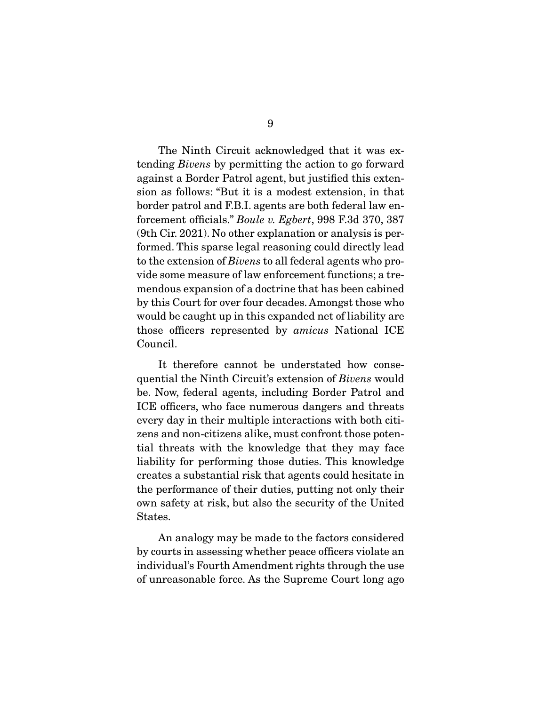The Ninth Circuit acknowledged that it was extending Bivens by permitting the action to go forward against a Border Patrol agent, but justified this extension as follows: "But it is a modest extension, in that border patrol and F.B.I. agents are both federal law enforcement officials." Boule v. Egbert, 998 F.3d 370, 387 (9th Cir. 2021). No other explanation or analysis is performed. This sparse legal reasoning could directly lead to the extension of Bivens to all federal agents who provide some measure of law enforcement functions; a tremendous expansion of a doctrine that has been cabined by this Court for over four decades. Amongst those who would be caught up in this expanded net of liability are those officers represented by amicus National ICE Council.

 It therefore cannot be understated how consequential the Ninth Circuit's extension of Bivens would be. Now, federal agents, including Border Patrol and ICE officers, who face numerous dangers and threats every day in their multiple interactions with both citizens and non-citizens alike, must confront those potential threats with the knowledge that they may face liability for performing those duties. This knowledge creates a substantial risk that agents could hesitate in the performance of their duties, putting not only their own safety at risk, but also the security of the United States.

 An analogy may be made to the factors considered by courts in assessing whether peace officers violate an individual's Fourth Amendment rights through the use of unreasonable force. As the Supreme Court long ago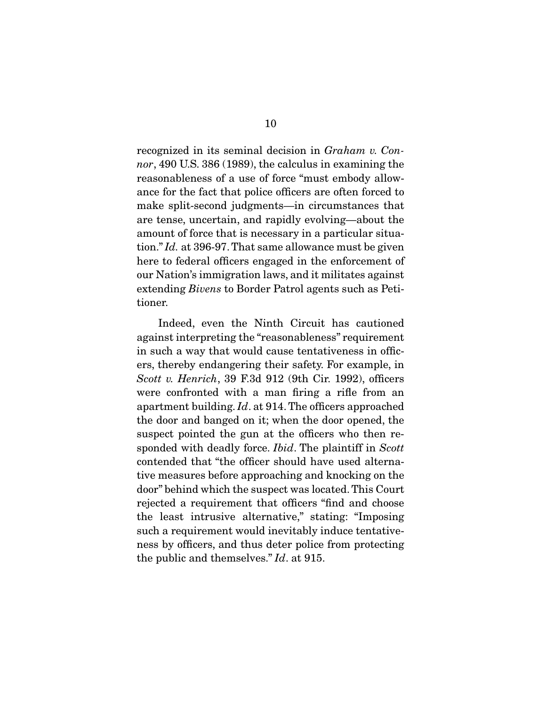recognized in its seminal decision in Graham v. Connor, 490 U.S. 386 (1989), the calculus in examining the reasonableness of a use of force "must embody allowance for the fact that police officers are often forced to make split-second judgments—in circumstances that are tense, uncertain, and rapidly evolving—about the amount of force that is necessary in a particular situation." Id. at 396-97. That same allowance must be given here to federal officers engaged in the enforcement of our Nation's immigration laws, and it militates against extending Bivens to Border Patrol agents such as Petitioner.

 Indeed, even the Ninth Circuit has cautioned against interpreting the "reasonableness" requirement in such a way that would cause tentativeness in officers, thereby endangering their safety. For example, in Scott v. Henrich, 39 F.3d 912 (9th Cir. 1992), officers were confronted with a man firing a rifle from an apartment building. Id. at 914. The officers approached the door and banged on it; when the door opened, the suspect pointed the gun at the officers who then responded with deadly force. *Ibid*. The plaintiff in Scott contended that "the officer should have used alternative measures before approaching and knocking on the door" behind which the suspect was located. This Court rejected a requirement that officers "find and choose the least intrusive alternative," stating: "Imposing such a requirement would inevitably induce tentativeness by officers, and thus deter police from protecting the public and themselves." Id. at 915.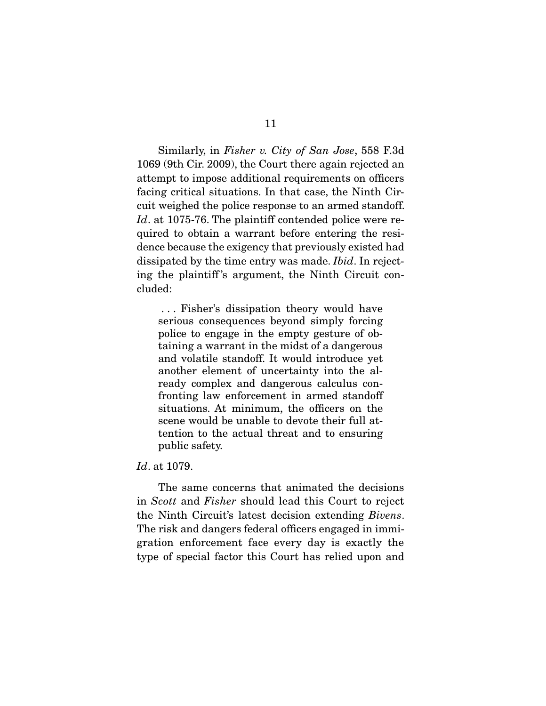Similarly, in Fisher v. City of San Jose, 558 F.3d 1069 (9th Cir. 2009), the Court there again rejected an attempt to impose additional requirements on officers facing critical situations. In that case, the Ninth Circuit weighed the police response to an armed standoff. Id. at 1075-76. The plaintiff contended police were required to obtain a warrant before entering the residence because the exigency that previously existed had dissipated by the time entry was made. Ibid. In rejecting the plaintiff 's argument, the Ninth Circuit concluded:

 . . . Fisher's dissipation theory would have serious consequences beyond simply forcing police to engage in the empty gesture of obtaining a warrant in the midst of a dangerous and volatile standoff. It would introduce yet another element of uncertainty into the already complex and dangerous calculus confronting law enforcement in armed standoff situations. At minimum, the officers on the scene would be unable to devote their full attention to the actual threat and to ensuring public safety.

### Id. at 1079.

 The same concerns that animated the decisions in Scott and Fisher should lead this Court to reject the Ninth Circuit's latest decision extending Bivens. The risk and dangers federal officers engaged in immigration enforcement face every day is exactly the type of special factor this Court has relied upon and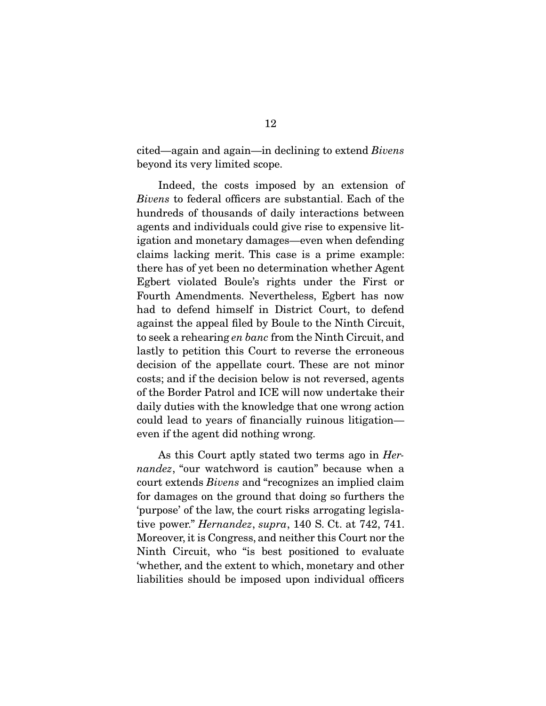cited—again and again—in declining to extend Bivens beyond its very limited scope.

 Indeed, the costs imposed by an extension of Bivens to federal officers are substantial. Each of the hundreds of thousands of daily interactions between agents and individuals could give rise to expensive litigation and monetary damages—even when defending claims lacking merit. This case is a prime example: there has of yet been no determination whether Agent Egbert violated Boule's rights under the First or Fourth Amendments. Nevertheless, Egbert has now had to defend himself in District Court, to defend against the appeal filed by Boule to the Ninth Circuit, to seek a rehearing en banc from the Ninth Circuit, and lastly to petition this Court to reverse the erroneous decision of the appellate court. These are not minor costs; and if the decision below is not reversed, agents of the Border Patrol and ICE will now undertake their daily duties with the knowledge that one wrong action could lead to years of financially ruinous litigation even if the agent did nothing wrong.

 As this Court aptly stated two terms ago in Hernandez, "our watchword is caution" because when a court extends Bivens and "recognizes an implied claim for damages on the ground that doing so furthers the 'purpose' of the law, the court risks arrogating legislative power." Hernandez, supra, 140 S. Ct. at 742, 741. Moreover, it is Congress, and neither this Court nor the Ninth Circuit, who "is best positioned to evaluate 'whether, and the extent to which, monetary and other liabilities should be imposed upon individual officers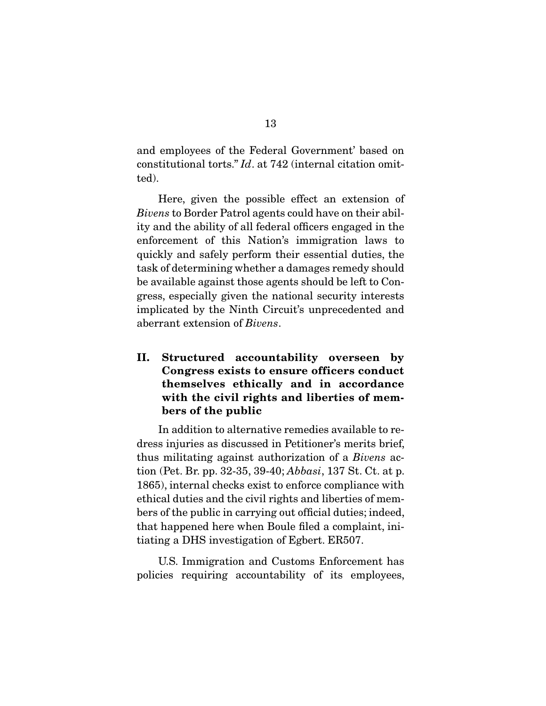and employees of the Federal Government' based on constitutional torts." Id. at 742 (internal citation omitted).

 Here, given the possible effect an extension of Bivens to Border Patrol agents could have on their ability and the ability of all federal officers engaged in the enforcement of this Nation's immigration laws to quickly and safely perform their essential duties, the task of determining whether a damages remedy should be available against those agents should be left to Congress, especially given the national security interests implicated by the Ninth Circuit's unprecedented and aberrant extension of Bivens.

**II. Structured accountability overseen by Congress exists to ensure officers conduct themselves ethically and in accordance with the civil rights and liberties of members of the public** 

 In addition to alternative remedies available to redress injuries as discussed in Petitioner's merits brief, thus militating against authorization of a Bivens action (Pet. Br. pp. 32-35, 39-40; Abbasi, 137 St. Ct. at p. 1865), internal checks exist to enforce compliance with ethical duties and the civil rights and liberties of members of the public in carrying out official duties; indeed, that happened here when Boule filed a complaint, initiating a DHS investigation of Egbert. ER507.

 U.S. Immigration and Customs Enforcement has policies requiring accountability of its employees,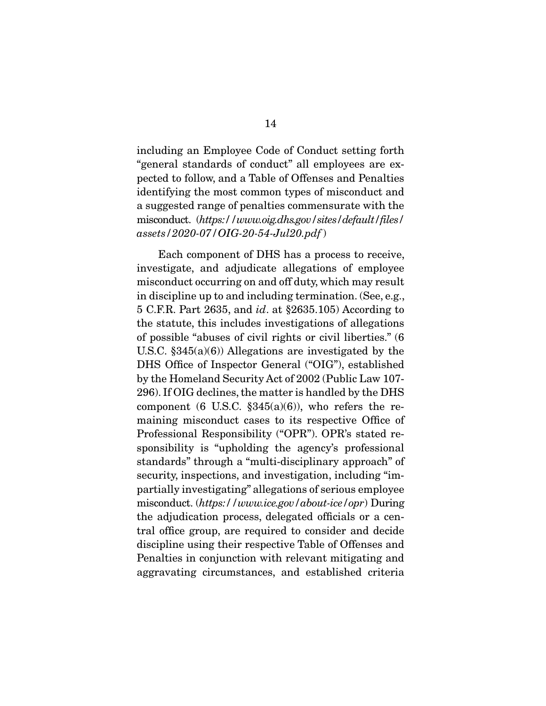including an Employee Code of Conduct setting forth "general standards of conduct" all employees are expected to follow, and a Table of Offenses and Penalties identifying the most common types of misconduct and a suggested range of penalties commensurate with the misconduct. (https://www.oig.dhs.gov/sites/default/files/ assets/2020-07/OIG-20-54-Jul20.pdf )

 Each component of DHS has a process to receive, investigate, and adjudicate allegations of employee misconduct occurring on and off duty, which may result in discipline up to and including termination. (See, e.g., 5 C.F.R. Part 2635, and id. at §2635.105) According to the statute, this includes investigations of allegations of possible "abuses of civil rights or civil liberties." (6 U.S.C. §345(a)(6)) Allegations are investigated by the DHS Office of Inspector General ("OIG"), established by the Homeland Security Act of 2002 (Public Law 107- 296). If OIG declines, the matter is handled by the DHS component (6 U.S.C.  $\S 345(a)(6)$ ), who refers the remaining misconduct cases to its respective Office of Professional Responsibility ("OPR"). OPR's stated responsibility is "upholding the agency's professional standards" through a "multi-disciplinary approach" of security, inspections, and investigation, including "impartially investigating" allegations of serious employee misconduct. (https://www.ice.gov/about-ice/opr) During the adjudication process, delegated officials or a central office group, are required to consider and decide discipline using their respective Table of Offenses and Penalties in conjunction with relevant mitigating and aggravating circumstances, and established criteria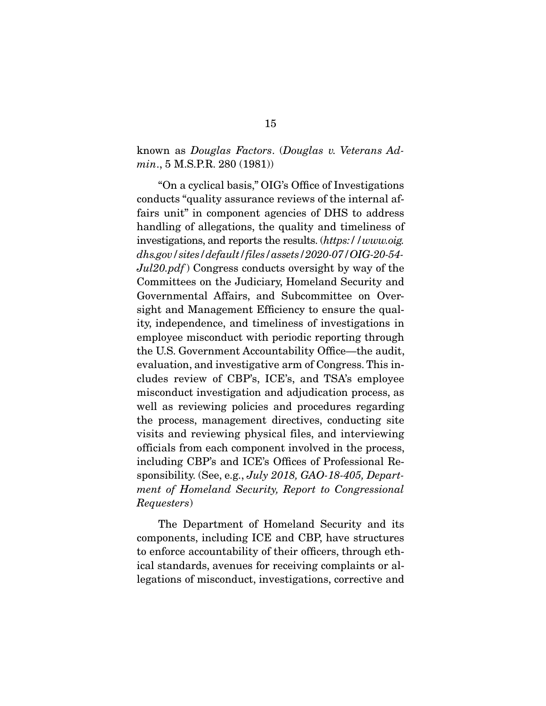known as Douglas Factors. (Douglas v. Veterans Admin., 5 M.S.P.R. 280 (1981))

 "On a cyclical basis," OIG's Office of Investigations conducts "quality assurance reviews of the internal affairs unit" in component agencies of DHS to address handling of allegations, the quality and timeliness of investigations, and reports the results. (https://www.oig. dhs.gov/sites/default/files/assets/2020-07/OIG-20-54-  $Jul20.pdf$ ) Congress conducts oversight by way of the Committees on the Judiciary, Homeland Security and Governmental Affairs, and Subcommittee on Oversight and Management Efficiency to ensure the quality, independence, and timeliness of investigations in employee misconduct with periodic reporting through the U.S. Government Accountability Office—the audit, evaluation, and investigative arm of Congress. This includes review of CBP's, ICE's, and TSA's employee misconduct investigation and adjudication process, as well as reviewing policies and procedures regarding the process, management directives, conducting site visits and reviewing physical files, and interviewing officials from each component involved in the process, including CBP's and ICE's Offices of Professional Responsibility. (See, e.g., *July 2018*, *GAO-18-405*, *Depart*ment of Homeland Security, Report to Congressional Requesters)

 The Department of Homeland Security and its components, including ICE and CBP, have structures to enforce accountability of their officers, through ethical standards, avenues for receiving complaints or allegations of misconduct, investigations, corrective and